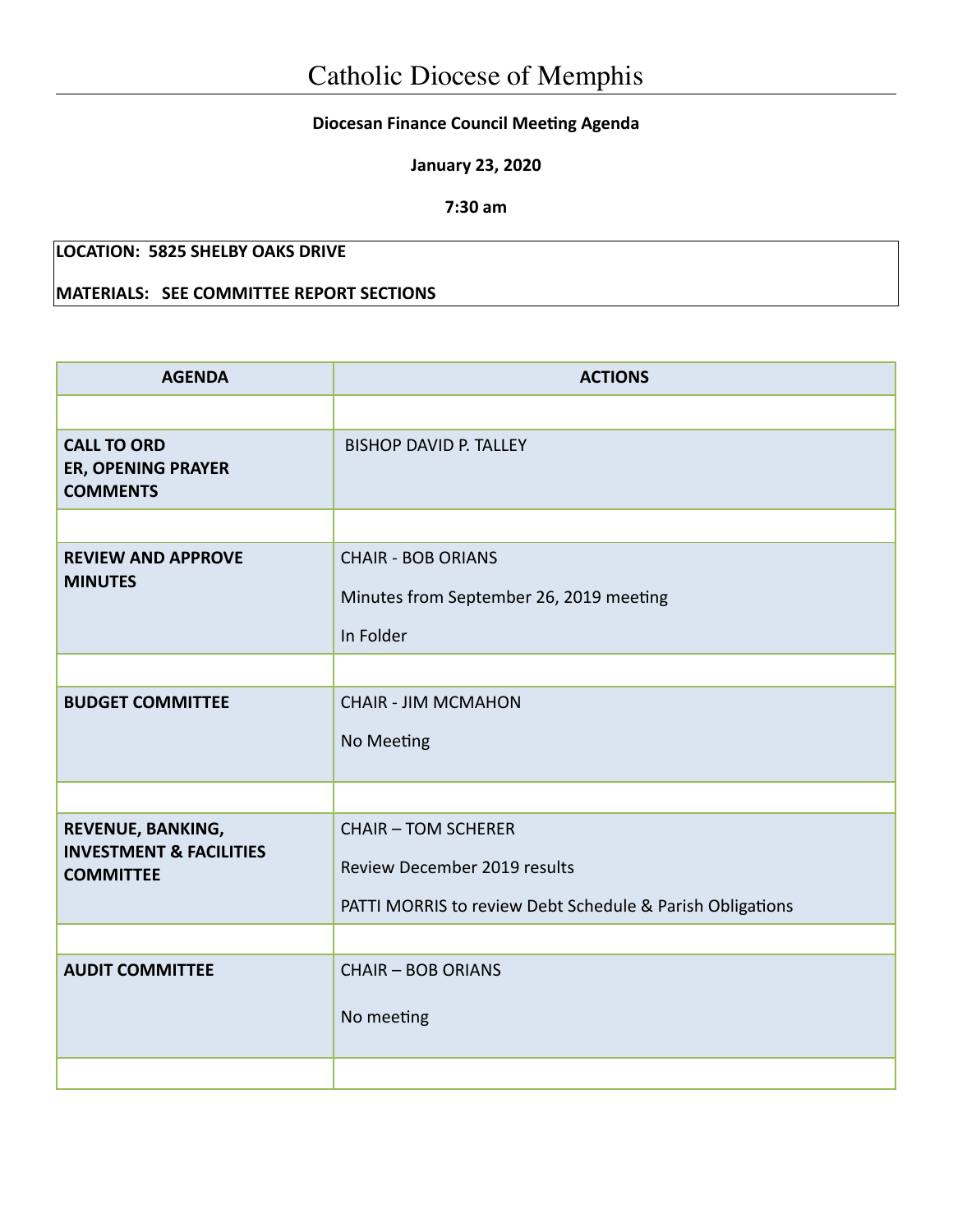## **Diocesan Finance Council Meeting Agenda**

**January 23, 2020**

**7:30 am**

## **LOCATION: 5825 SHELBY OAKS DRIVE**

## **MATERIALS: SEE COMMITTEE REPORT SECTIONS**

| <b>AGENDA</b>                                                               | <b>ACTIONS</b>                                                                                                          |  |  |
|-----------------------------------------------------------------------------|-------------------------------------------------------------------------------------------------------------------------|--|--|
|                                                                             |                                                                                                                         |  |  |
| <b>CALL TO ORD</b><br>ER, OPENING PRAYER<br><b>COMMENTS</b>                 | <b>BISHOP DAVID P. TALLEY</b>                                                                                           |  |  |
|                                                                             |                                                                                                                         |  |  |
| <b>REVIEW AND APPROVE</b><br><b>MINUTES</b>                                 | <b>CHAIR - BOB ORIANS</b><br>Minutes from September 26, 2019 meeting<br>In Folder                                       |  |  |
|                                                                             |                                                                                                                         |  |  |
| <b>BUDGET COMMITTEE</b>                                                     | <b>CHAIR - JIM MCMAHON</b><br>No Meeting                                                                                |  |  |
|                                                                             |                                                                                                                         |  |  |
| REVENUE, BANKING,<br><b>INVESTMENT &amp; FACILITIES</b><br><b>COMMITTEE</b> | <b>CHAIR - TOM SCHERER</b><br>Review December 2019 results<br>PATTI MORRIS to review Debt Schedule & Parish Obligations |  |  |
|                                                                             |                                                                                                                         |  |  |
| <b>AUDIT COMMITTEE</b>                                                      | <b>CHAIR - BOB ORIANS</b><br>No meeting                                                                                 |  |  |
|                                                                             |                                                                                                                         |  |  |